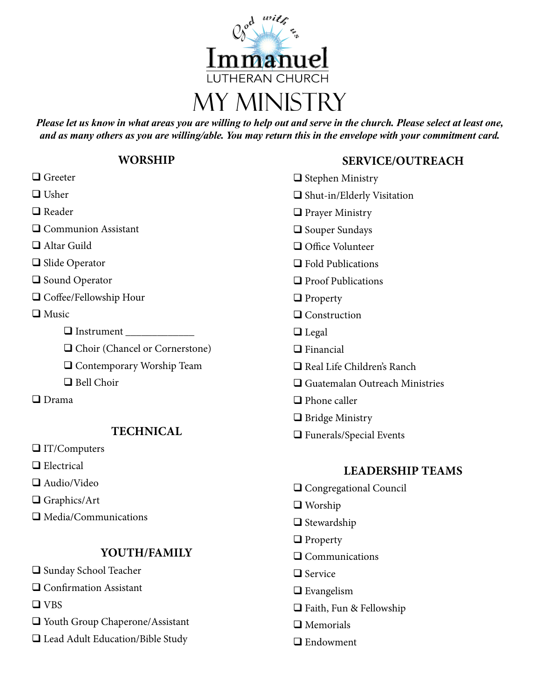

*Please let us know in what areas you are willing to help out and serve in the church. Please select at least one, and as many others as you are willing/able. You may return this in the envelope with your commitment card.*

## **WORSHIP**

| $\Box$ Greeter                   | $\Box$ Ste    |
|----------------------------------|---------------|
| $\Box$ Usher                     | $\Box$ Shu    |
| $\Box$ Reader                    | $\square$ Pra |
| □ Communion Assistant            | $\Box$ Sot    |
| $\Box$ Altar Guild               | $\square$ Off |
| $\Box$ Slide Operator            | $\Box$ Fol    |
| $\Box$ Sound Operator            | $\Box$ Prc    |
| $\Box$ Coffee/Fellowship Hour    | $\Box$ Prc    |
| $\Box$ Music                     | $\Box$ Co     |
|                                  | $\Box$ Leg    |
| □ Choir (Chancel or Cornerstone) | $\Box$ Fin    |
| $\Box$ Contemporary Worship Team | $\Box$ Rea    |
| $\Box$ Bell Choir                | $\Box$ Gu     |
| $\Box$ Drama                     | $\Box$ Pho    |
|                                  | $\square$ Bri |
| <b>TECHNICAL</b>                 | $\Box$ Fur    |
| $\Box$ IT/Computers              |               |
| $\Box$ Electrical                |               |

- **LEADERSHIP TEAMS**
- Q Congregational Council
- 
- 
- $\Box$  Communications
- 
- 
- $\Box$  Faith, Fun & Fellowship
- $\Box$  Memorials
- $\Box$  Endowment

## **SERVICE/OUTREACH**

- phen Ministry
- at-in/Elderly Visitation
- yer Ministry
- aper Sundays
- fice Volunteer
- d Publications
- of Publications
- perty
- nstruction
- zal
- ancial
- al Life Children's Ranch
- atemalan Outreach Ministries
- one caller
- dge Ministry
- nerals/Special Events

- 
- $\Box$  Worship
- $\hfill\Box$  Stewardship
- $\Box$  Property
- 
- $\Box$  Service
- $\Box$  Evangelism
- 
- □ Youth Group Chaperone/Assistant

**YOUTH/FAMILY**

 $\Box$  Audio/Video

 $\Box$  Graphics/Art

 $\square$  VBS

 $\Box$  Media/Communications

□ Sunday School Teacher  $\Box$  Confirmation Assistant

□ Lead Adult Education/Bible Study